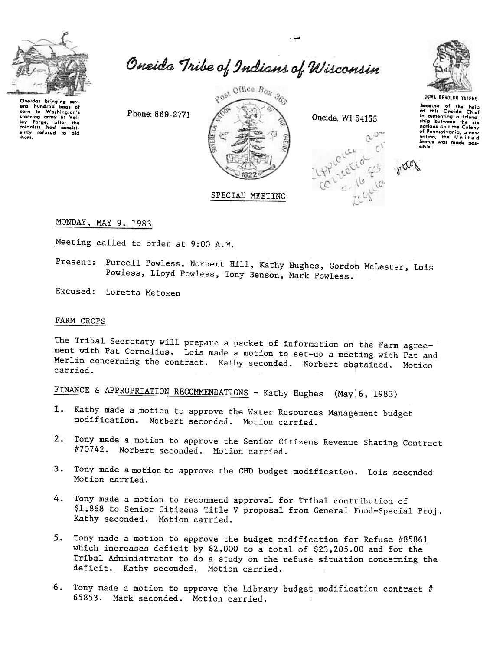

Oneidas bringing sev-<br>eral hundred bags of<br>corn to Washington's corn to washington's<br>starving army at Yol-<br>ley Forge, after the<br>colonists had consistently refused to aid<br>them. Oneida Tribe of Indians of Wisconsin

gost Office Box 360 SPECIAL MEETING

Oneida, WI 54155





Secause of the help<br>of this Oneida Chief in comenting a friend-<br>ship between the six nations and the Colony nations are the colonial<br>of Pennsylvania, a new<br>Statios, the United<br>States was made possible.

MONDAY, MAY 9, 1983

Meeting called to order at 9:00 A.M.

Phone: 869-2771

Purcell Powless, Norbert Hill, Kathy Hughes, Gordon McLester, Lois Present: Powless, Lloyd Powless, Tony Benson, Mark Powless.

Excused: Loretta Metoxen

## FARM CROPS

The Tribal Secretary will prepare a packet of information on the Farm agreement with Pat Cornelius. Lois made a motion to set-up a meeting with Pat and Merlin concerning the contract. Kathy seconded. Norbert abstained. Motion carried.

FINANCE & APPROPRIATION RECOMMENDATIONS - Kathy Hughes (May 6, 1983)

- 1. Kathy made a motion to approve the Water Resources Management budget modification. Norbert seconded. Motion carried.
- 2. Tony made a motion to approve the Senior Citizens Revenue Sharing Contract #70742. Norbert seconded. Motion carried.
- 3. Tony made a motion to approve the CHD budget modification. Lois seconded Motion carried.
- 4. Tony made a motion to recommend approval for Tribal contribution of \$1,868 to Senior Citizens Title V proposal from General Fund-Special Proj. Kathy seconded. Motion carried.
- 5. Tony made a motion to approve the budget modification for Refuse #85861 which increases deficit by \$2,000 to a total of \$23,205.00 and for the Tribal Administrator to do a study on the refuse situation concerning the deficit. Kathy seconded. Motion carried.
- 6. Tony made a motion to approve the Library budget modification contract  $#$ 65853. Mark seconded. Motion carried.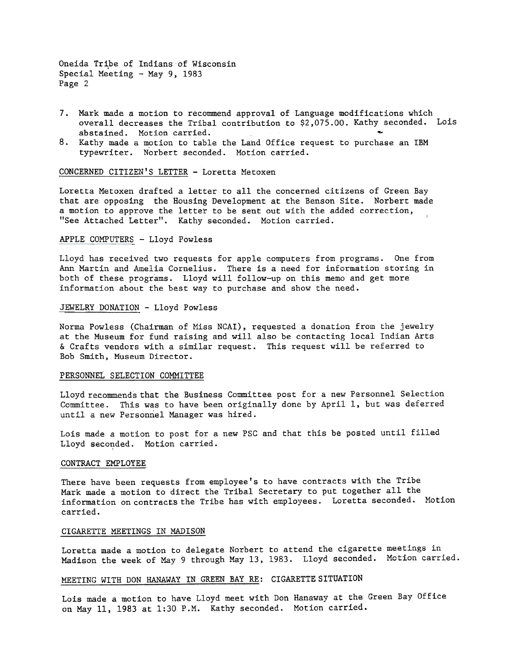Oneida Tribe of Indians of Wisconsin Special Meeting  $-$  May 9, 1983 Page 2

- 7. Mark made a motion to recommend approval of Language modifications which overall decreases the Tribal contribution to \$2,075.00. Kathy seconded. Loi abstained. Motion carried. ~
- 8. Kathy made a motion to table the Land Office request to purchase an IBM typewriter. Norbert seconded. Motion carried.

CONCERNED CITIZEN'S LETTER -Loretta Metoxen

Loretta Metoxen drafted a letter to all the concerned citizens of Green Bay that are opposing the Housing Development at the Benson Site. Norbert made a motion to approve the letter to be sent out with the added correction, "See Attached Letter". Kathy seconded. Motion carried.

### APPLE COMPUTERS - Lloyd Powless

Lloyd has received two requests for apple computers from programs. One from Ann Martin and Amelia Cornelius. There is a need for information storing in both of these programs. Lloyd will follow-up on this memo and get more information about the best way to purchase and show the need..

### JEWELRY DONATION - Lloyd Powless

Norma Powless (Chairman of Miss NCAI). requested a donation from the jewelry at the Museum for fund raising and will also be contacting local Indian Arts & Crafts vendors with a similar request. This request will be referred to Bob Smith. Museum Director.

#### PERSONNEL SELECTION COMMITTEE

Lloyd recommends that the Business Committee post for a new Personnel Selection Committee. This was to have been originally done by April 1, but was deferred until a new Personnel Manager was hired.

Lois made a motion to post for a new PSG and that this be posted until filled Lloyd seconded. Motion carried.

### CONTRACT EMPLOYEE

There have been requests from employee's to have contracts with the Tribe Mark made a motion to direct the Tribal Secretary to put together all the information on contracts the Tribe has with employees. Loretta seconded. Motion carried.

## CIGARETTE MEETINGS IN MADISON

Loretta made a motion to delegate Norbert to attend the cigarette meetings in Madison the week of May 9 through May 13,1983. Lloyd seconded. Motion carried.

# MEETING WITH DON HANAWAY IN GREEN BAY RE: CIGARETTE SITUATION

Lois made a motion to have Lloyd meet with Don Hanaway at the Green Bay Office on May 11, 1983 at 1:30 P.M. Kathy seconded. Motion carried.